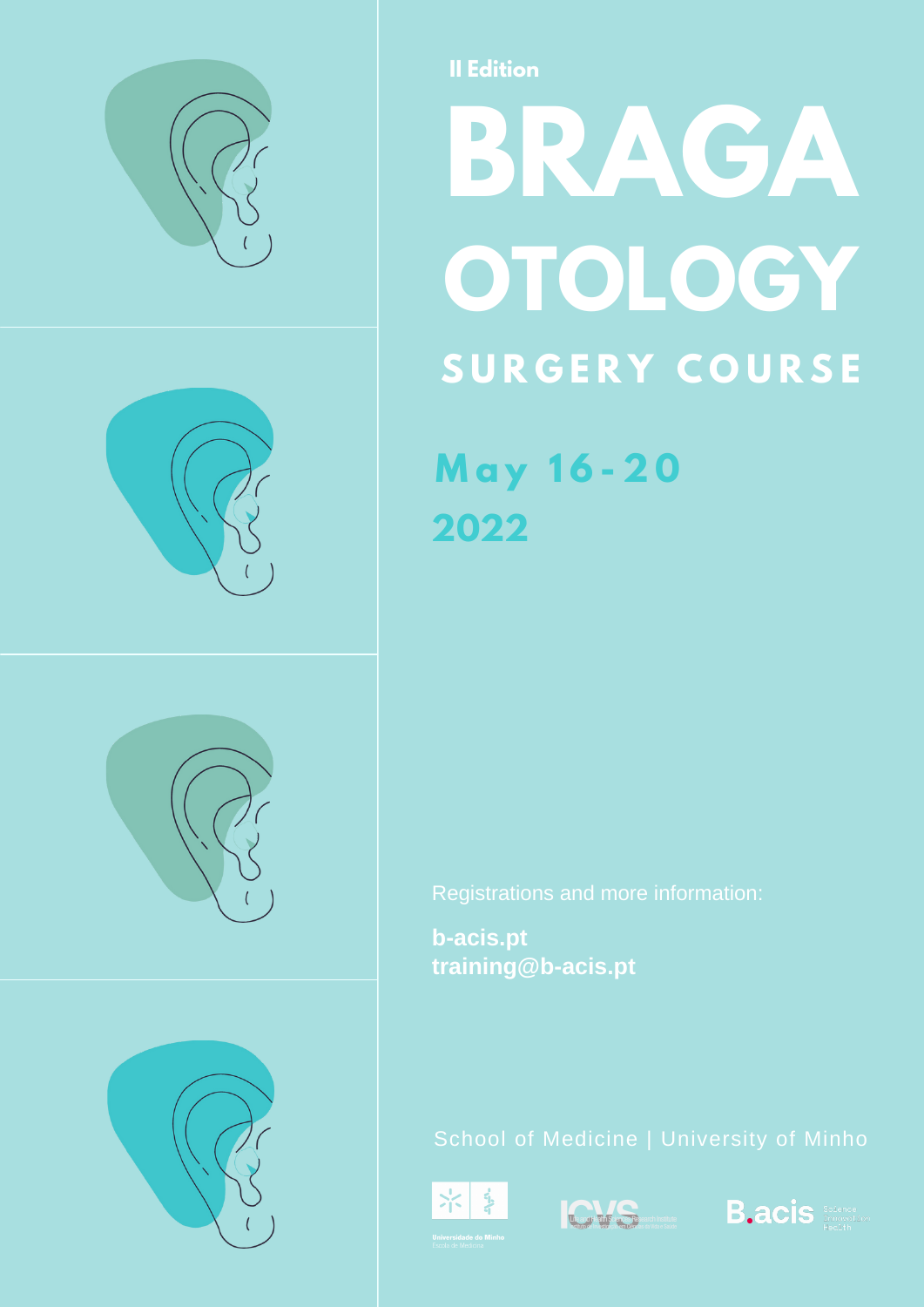

**II Edition**

# **OTOLOGY S U R G E R Y C O U R S E BRAGA**

**M a y 1 6 - 2 0 2022**

**b-acis.pt training@b-acis.pt**







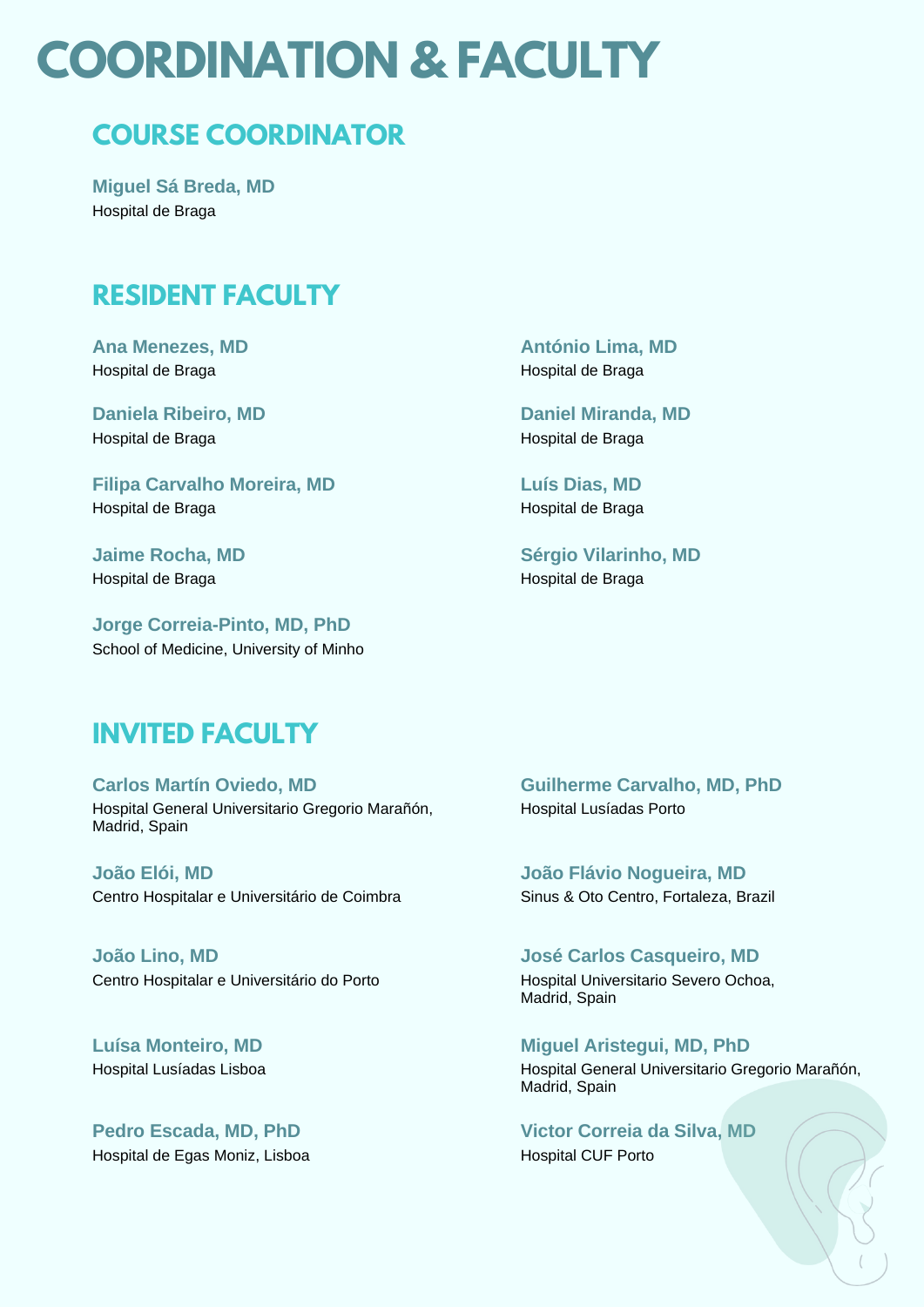### **COORDINATION & FACULTY**

### **COURSE COORDINATOR**

**Miguel Sá Breda, MD** Hospital de Braga

#### **RESIDENT FACULTY**

**Ana Menezes, MD** Hospital de Braga

**Daniela Ribeiro, MD** Hospital de Braga

**Filipa Carvalho Moreira, MD** Hospital de Braga

**Jaime Rocha, MD** Hospital de Braga

**Jorge Correia-Pinto, MD, PhD** School of Medicine, University of Minho

#### **António Lima, MD** Hospital de Braga

**Daniel Miranda, MD** Hospital de Braga

**Luís Dias, MD** Hospital de Braga

**Sérgio Vilarinho, MD** Hospital de Braga

#### **INVITED FACULTY**

**Carlos Martín Oviedo, MD** Hospital General Universitario Gregorio Marañón, Madrid, Spain

**João Elói, MD** Centro Hospitalar e Universitário de Coimbra

**João Lino, MD** Centro Hospitalar e Universitário do Porto

**Luísa Monteiro, MD** Hospital Lusíadas Lisboa

**Pedro Escada, MD, PhD** Hospital de Egas Moniz, Lisboa **Guilherme Carvalho, MD, PhD** Hospital Lusíadas Porto

**João Flávio Nogueira, MD** Sinus & Oto Centro, Fortaleza, Brazil

**José Carlos Casqueiro, MD** Hospital Universitario Severo Ochoa, Madrid, Spain

**Miguel Aristegui, MD, PhD** Hospital General Universitario Gregorio Marañón, Madrid, Spain

**Victor Correia da Silva, MD** Hospital CUF Porto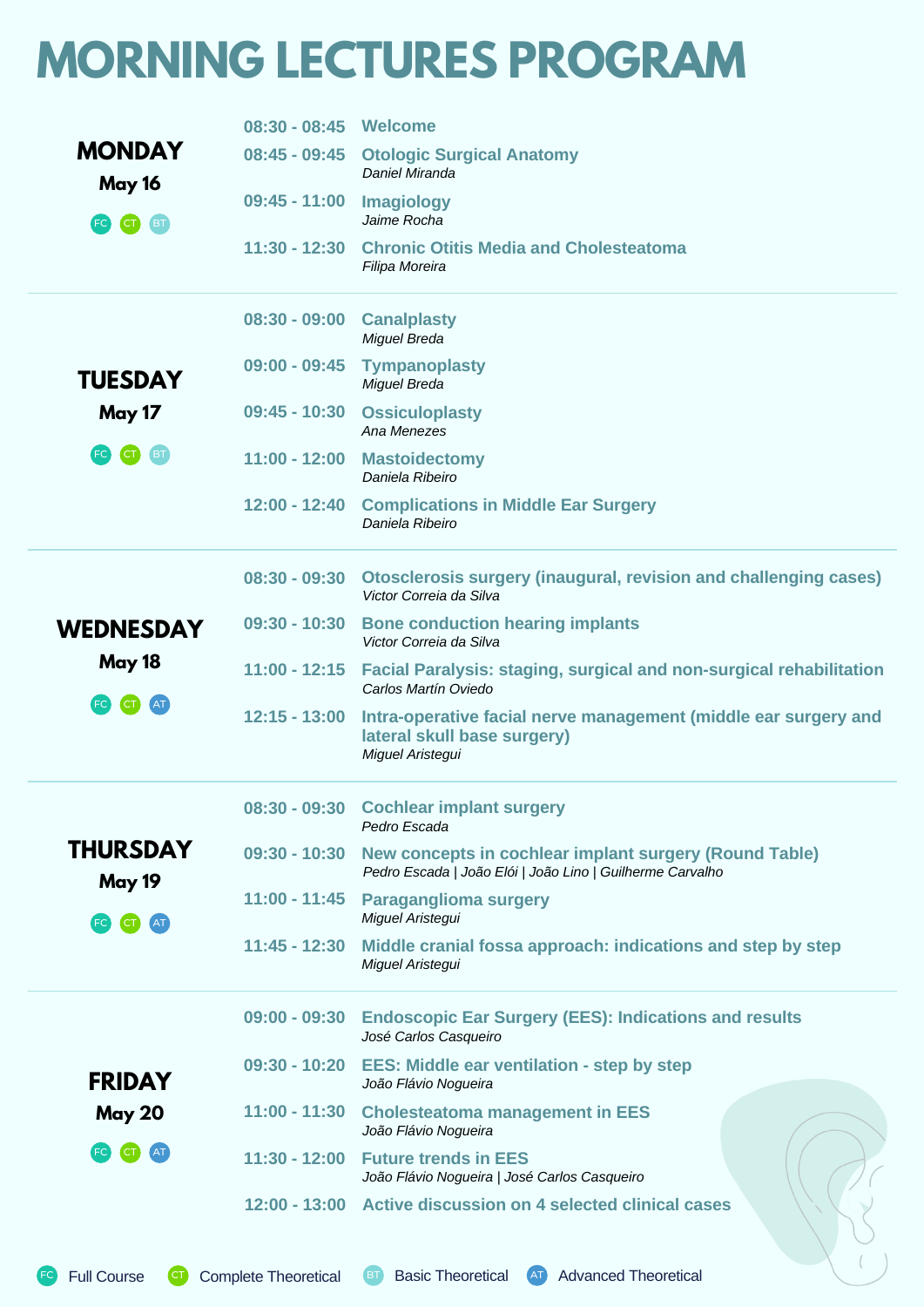### **MORNING LECTURES PROGRAM**

|                                    | 08:30 - 08:45 Welcome |                                                                                                                     |  |  |  |
|------------------------------------|-----------------------|---------------------------------------------------------------------------------------------------------------------|--|--|--|
| <b>MONDAY</b><br>May 16            |                       | 08:45 - 09:45 Otologic Surgical Anatomy<br>Daniel Miranda                                                           |  |  |  |
| (FC)<br>(BT)<br><b>CT</b>          | $09:45 - 11:00$       | Imagiology<br>Jaime Rocha                                                                                           |  |  |  |
|                                    | $11:30 - 12:30$       | <b>Chronic Otitis Media and Cholesteatoma</b><br>Filipa Moreira                                                     |  |  |  |
|                                    | $08:30 - 09:00$       | <b>Canalplasty</b><br><b>Miguel Breda</b>                                                                           |  |  |  |
| <b>TUESDAY</b>                     | $09:00 - 09:45$       | <b>Tympanoplasty</b><br>Miguel Breda                                                                                |  |  |  |
| May 17                             | $09:45 - 10:30$       | <b>Ossiculoplasty</b><br>Ana Menezes                                                                                |  |  |  |
| (FC)<br>$\bullet$<br>BT.           | $11:00 - 12:00$       | <b>Mastoidectomy</b><br>Daniela Ribeiro                                                                             |  |  |  |
|                                    | $12:00 - 12:40$       | <b>Complications in Middle Ear Surgery</b><br>Daniela Ribeiro                                                       |  |  |  |
|                                    | $08:30 - 09:30$       | <b>Otosclerosis surgery (inaugural, revision and challenging cases)</b><br>Victor Correia da Silva                  |  |  |  |
| <b>WEDNESDAY</b><br>May 18<br>(FC) | $09:30 - 10:30$       | <b>Bone conduction hearing implants</b><br>Victor Correia da Silva                                                  |  |  |  |
|                                    | $11:00 - 12:15$       | <b>Facial Paralysis: staging, surgical and non-surgical rehabilitation</b><br>Carlos Martín Oviedo                  |  |  |  |
|                                    | $12:15 - 13:00$       | Intra-operative facial nerve management (middle ear surgery and<br>lateral skull base surgery)<br>Miguel Aristegui  |  |  |  |
|                                    |                       | 08:30 - 09:30 Cochlear implant surgery<br>Pedro Escada                                                              |  |  |  |
| <b>THURSDAY</b>                    | $09:30 - 10:30$       | New concepts in cochlear implant surgery (Round Table)<br>Pedro Escada   João Elói   João Lino   Guilherme Carvalho |  |  |  |
| May 19<br>(FC)<br>AT               | $11:00 - 11:45$       | <b>Paraganglioma surgery</b><br>Miguel Aristegui                                                                    |  |  |  |
|                                    | $11:45 - 12:30$       | Middle cranial fossa approach: indications and step by step<br>Miguel Aristegui                                     |  |  |  |
|                                    | $09:00 - 09:30$       | <b>Endoscopic Ear Surgery (EES): Indications and results</b><br>José Carlos Casqueiro                               |  |  |  |
| <b>FRIDAY</b>                      | $09:30 - 10:20$       | <b>EES: Middle ear ventilation - step by step</b><br>João Flávio Nogueira                                           |  |  |  |
| <b>May 20</b>                      | $11:00 - 11:30$       | <b>Cholesteatoma management in EES</b><br>João Flávio Nogueira                                                      |  |  |  |
| $\left($ CT<br>AT <sub>1</sub>     | $11:30 - 12:00$       | <b>Future trends in EES</b><br>João Flávio Nogueira   José Carlos Casqueiro                                         |  |  |  |
|                                    |                       | 12:00 - 13:00 Active discussion on 4 selected clinical cases                                                        |  |  |  |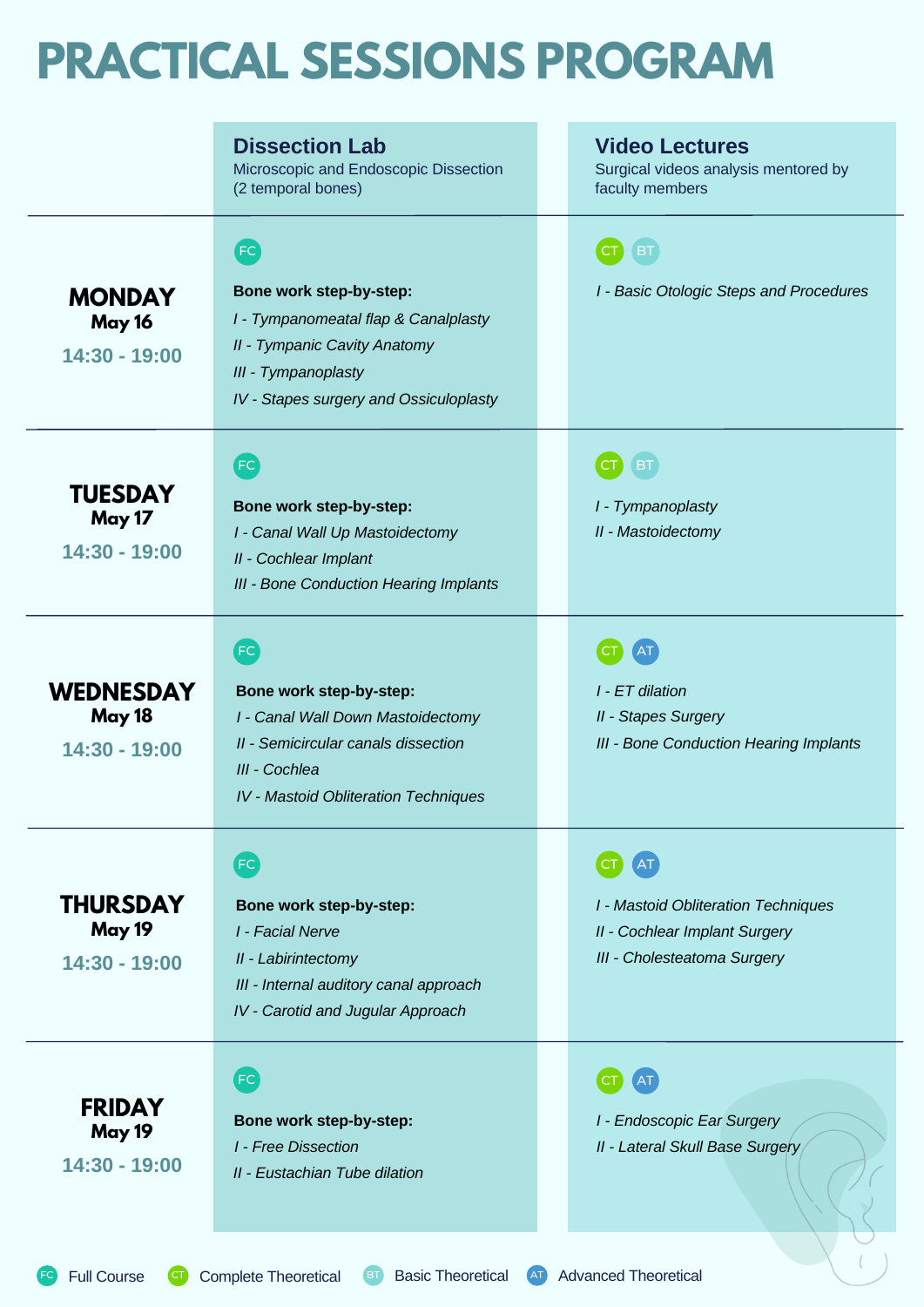### **PRACTICAL SESSIONS PROGRAM**

|                                                      | <b>Dissection Lab</b><br>Microscopic and Endoscopic Dissection<br>(2 temporal bones)                                                                                          | <b>Video Lectures</b><br>Surgical videos analysis mentored by<br>faculty members                           |
|------------------------------------------------------|-------------------------------------------------------------------------------------------------------------------------------------------------------------------------------|------------------------------------------------------------------------------------------------------------|
| <b>MONDAY</b><br>May 16<br>14:30 - 19:00             | FC<br>Bone work step-by-step:<br>I - Tympanomeatal flap & Canalplasty<br><b>II - Tympanic Cavity Anatomy</b><br>III - Tympanoplasty<br>IV - Stapes surgery and Ossiculoplasty | <b>BT</b><br>I - Basic Otologic Steps and Procedures                                                       |
| <b>TUESDAY</b><br><b>May 17</b><br>14:30 - 19:00     | FC<br>Bone work step-by-step:<br>I - Canal Wall Up Mastoidectomy<br>II - Cochlear Implant<br><b>III - Bone Conduction Hearing Implants</b>                                    | <b>BT</b><br>I - Tympanoplasty<br>II - Mastoidectomy                                                       |
| <b>WEDNESDAY</b><br><b>May 18</b><br>$14:30 - 19:00$ | FC<br>Bone work step-by-step:<br>I - Canal Wall Down Mastoidectomy<br>II - Semicircular canals dissection<br>III - Cochlea<br><b>IV</b> - Mastoid Obliteration Techniques     | I - ET dilation<br><b>II - Stapes Surgery</b><br><b>III - Bone Conduction Hearing Implants</b>             |
| <b>THURSDAY</b><br><b>May 19</b><br>14:30 - 19:00    | FC<br>Bone work step-by-step:<br>I - Facial Nerve<br>II - Labirintectomy<br>III - Internal auditory canal approach<br>IV - Carotid and Jugular Approach                       | <b>I - Mastoid Obliteration Techniques</b><br>II - Cochlear Implant Surgery<br>III - Cholesteatoma Surgery |
| <b>FRIDAY</b><br><b>May 19</b><br>14:30 - 19:00      | FC<br>Bone work step-by-step:<br><b>I</b> - Free Dissection<br>II - Eustachian Tube dilation                                                                                  | I - Endoscopic Ear Surgery<br>II - Lateral Skull Base Surgery                                              |

Full Course **CT** Complete Theoretical BT Basic Theoretical AT Advanced Theoretical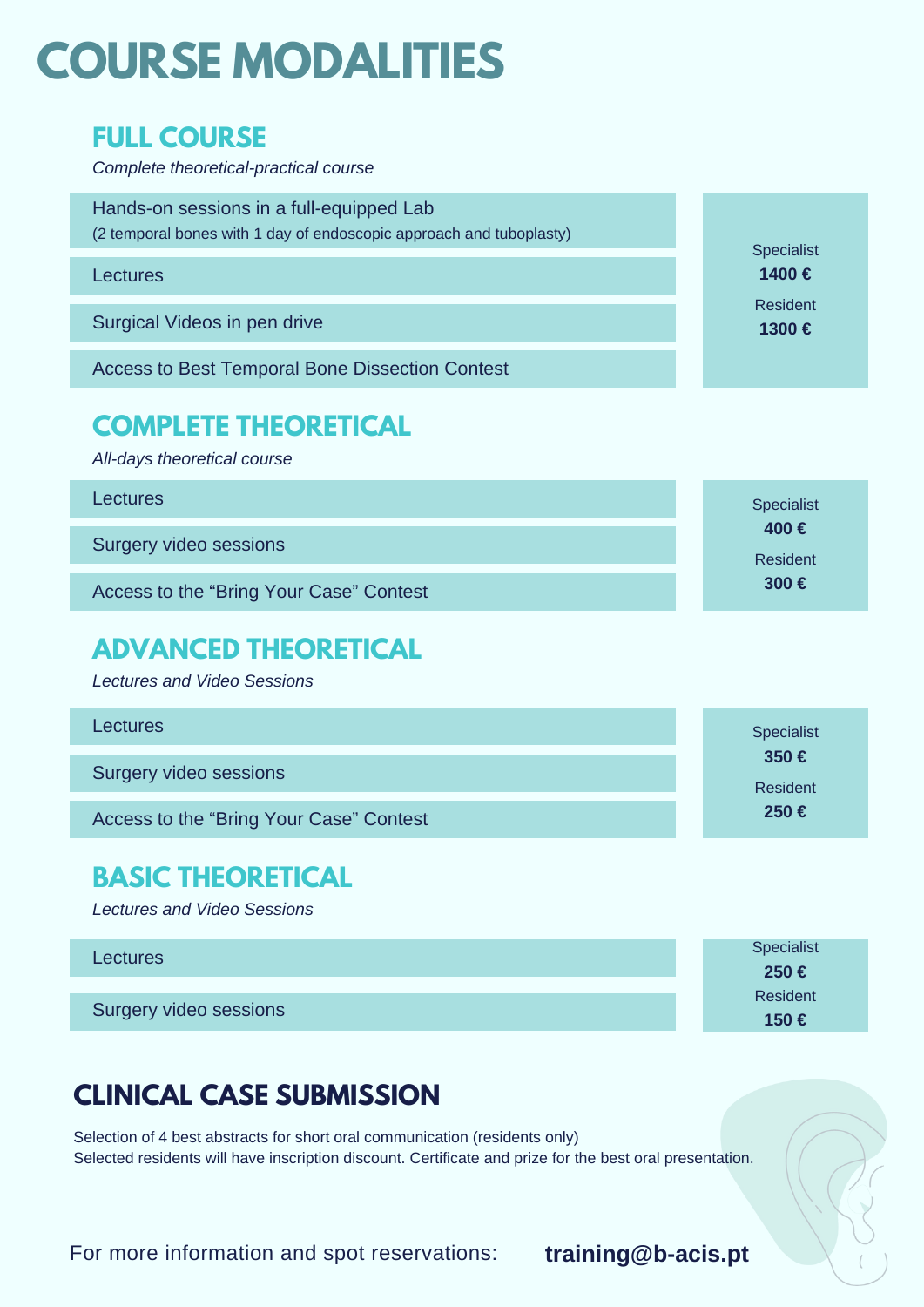## **COURSE MODALITIES**

#### **FULL COURSE**

*Complete theoretical-practical course*

| Hands-on sessions in a full-equipped Lab<br>(2 temporal bones with 1 day of endoscopic approach and tuboplasty) | <b>Specialist</b> |  |
|-----------------------------------------------------------------------------------------------------------------|-------------------|--|
| Lectures                                                                                                        | 1400€             |  |
| Surgical Videos in pen drive                                                                                    | Resident<br>1300€ |  |
| <b>Access to Best Temporal Bone Dissection Contest</b>                                                          |                   |  |

### **COMPLETE THEORETICAL**

*All-days theoretical course*

Lectures

Surgery video sessions

Access to the "Bring Your Case" Contest

### **ADVANCED THEORETICAL**

*Lectures and Video Sessions*

| <b>Lectures</b>                         | <b>Specialist</b>          |  |
|-----------------------------------------|----------------------------|--|
| Surgery video sessions                  | 350 $\epsilon$<br>Resident |  |
| Access to the "Bring Your Case" Contest | 250€                       |  |

### **BASIC THEORETICAL**

*Lectures and Video Sessions*

| <b>Lectures</b>        | Specialist |
|------------------------|------------|
|                        | 250€       |
|                        | Resident   |
| Surgery video sessions | 150€       |

### **CLINICAL CASE SUBMISSION**

Selection of 4 best abstracts for short oral communication (residents only) Selected residents will have inscription discount. Certificate and prize for the best oral presentation.

For more information and spot reservations: **training@b-acis.pt**

Specialist **400 €**

Resident **300 €**